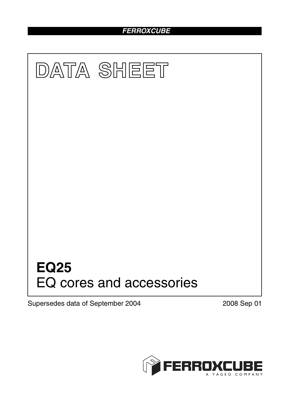# *FERROXCUBE*



Supersedes data of September 2004 2008 Sep 01

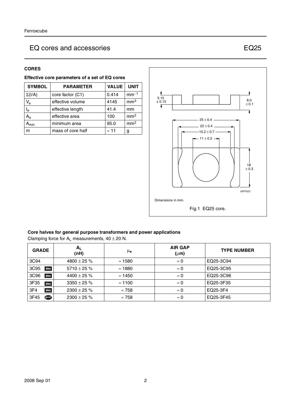# EQ cores and accessories EQ25

## **CORES**

| Effective core parameters of a set of EQ cores |                                                 |              |                 |  |
|------------------------------------------------|-------------------------------------------------|--------------|-----------------|--|
| <b>SYMBOL</b>                                  | <b>VALUE</b><br><b>UNIT</b><br><b>PARAMETER</b> |              |                 |  |
| $\Sigma(I/A)$                                  | core factor (C1)                                | 0.414        | $mm-1$          |  |
| $V_{\rm e}$                                    | effective volume                                | 4145         | mm <sup>3</sup> |  |
| $\mathsf{I}_\mathsf{e}$                        | effective length                                | 41.4         | mm              |  |
| $\mathsf{A}_{\mathsf{e}}$                      | effective area                                  | 100          | mm <sup>2</sup> |  |
| $A_{min}$                                      | minimum area                                    | 95.0         | mm <sup>2</sup> |  |
| m                                              | mass of core half                               | $\approx$ 11 | g               |  |



## **Core halves for general purpose transformers and power applications**

| Clamping force for $A_L$ measurements, 40 $\pm$ 20 N. |  |  |  |
|-------------------------------------------------------|--|--|--|
| CRADE                                                 |  |  |  |

| <b>GRADE</b> | $A_{L}$<br>(nH)  | μ <sub>e</sub> | <b>AIR GAP</b><br>$(\mu m)$ | <b>TYPE NUMBER</b> |
|--------------|------------------|----------------|-----------------------------|--------------------|
| 3C94         | 4800 $\pm$ 25 %  | $\approx$ 1580 | $\approx 0$                 | EQ25-3C94          |
| 3C95<br>des  | 5710 $\pm$ 25 %  | $\approx$ 1880 | $\approx 0$                 | EQ25-3C95          |
| 3C96<br>des  | 4400 $\pm$ 25 %  | $\approx$ 1450 | $\approx 0$                 | EQ25-3C96          |
| 3F35<br>des  | $3350 \pm 25 \%$ | $\approx$ 1100 | $\approx 0$                 | EQ25-3F35          |
| 3F4<br>des   | $2300 \pm 25 \%$ | $\approx 758$  | $\approx 0$                 | EQ25-3F4           |
| ெ<br>3F45    | $2300 \pm 25 \%$ | $\approx 758$  | $\approx 0$                 | EQ25-3F45          |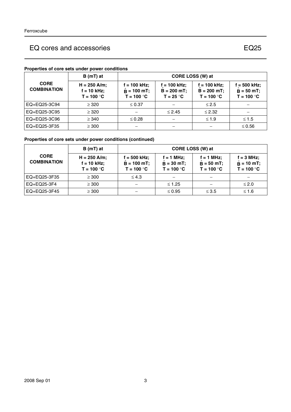# EQ cores and accessories EQ25

**f = 500 kHz; = 50 mT;** ˆ **T = 100** °**C**

|                                   | Properties of core sets under power conditions  |                                                       |                                                 |                                                  |                                  |
|-----------------------------------|-------------------------------------------------|-------------------------------------------------------|-------------------------------------------------|--------------------------------------------------|----------------------------------|
|                                   | B (mT) at                                       |                                                       |                                                 | CORE LOSS (W) at                                 |                                  |
| <b>CORE</b><br><b>COMBINATION</b> | $H = 250$ A/m;<br>$f = 10$ kHz;<br>$T = 100 °C$ | $f = 100$ kHz;<br>$\hat{B} = 100$ mT;<br>$T = 100 °C$ | $f = 100$ kHz;<br>$B = 200 mT$ ;<br>$T = 25 °C$ | $f = 100$ kHz;<br>$B = 200 mT$ ;<br>$T = 100 °C$ | f = 500<br>$B = 50$<br>$T = 100$ |
| EQ+EQ25-3C94                      | $\geq$ 320                                      | $\leq 0.37$                                           |                                                 | $\leq 2.5$                                       |                                  |
| EQ+EQ25-3C95                      | $\geq$ 320                                      |                                                       | $\leq$ 2.45                                     | $\leq$ 2.32                                      |                                  |

## **Properties of core sets under power conditions**

## **Properties of core sets under power conditions (continued)**

|                                   | $B(mT)$ at                                      | CORE LOSS (W) at                              |                                              |                                                    |                                                     |
|-----------------------------------|-------------------------------------------------|-----------------------------------------------|----------------------------------------------|----------------------------------------------------|-----------------------------------------------------|
| <b>CORE</b><br><b>COMBINATION</b> | $H = 250$ A/m;<br>$f = 10$ kHz;<br>$T = 100 °C$ | f = 500 kHz;<br>$B = 100$ mT;<br>$T = 100 °C$ | $f = 1$ MHz;<br>$B = 30$ mT;<br>$T = 100 °C$ | $f = 1$ MHz;<br>$\hat{B} = 50$ mT;<br>$T = 100 °C$ | $f = 3 MHz$ ;<br>$\hat{B} = 10$ mT;<br>$T = 100 °C$ |
| EQ+EQ25-3F35                      | $\geq 300$                                      | $\leq 4.3$                                    |                                              |                                                    |                                                     |
| EQ+EQ25-3F4                       | $\geq 300$                                      |                                               | $\leq 1.25$                                  |                                                    | $\leq 2.0$                                          |
| EQ+EQ25-3F45                      | $\geq 300$                                      |                                               | $\leq 0.95$                                  | $\leq 3.5$                                         | $≤ 1.6$                                             |

EQ+EQ25-3C96  $\geq 340$   $\geq 0.28$   $\mid$   $\sim$   $\mid$  ≤ 1.9  $\mid$  ≤ 1.5 EQ+EQ25-3F35  $\vert$  ≥ 300  $\vert$  −  $\vert$  −  $\vert$  −  $\vert$  −  $\vert$  ≤ 0.56